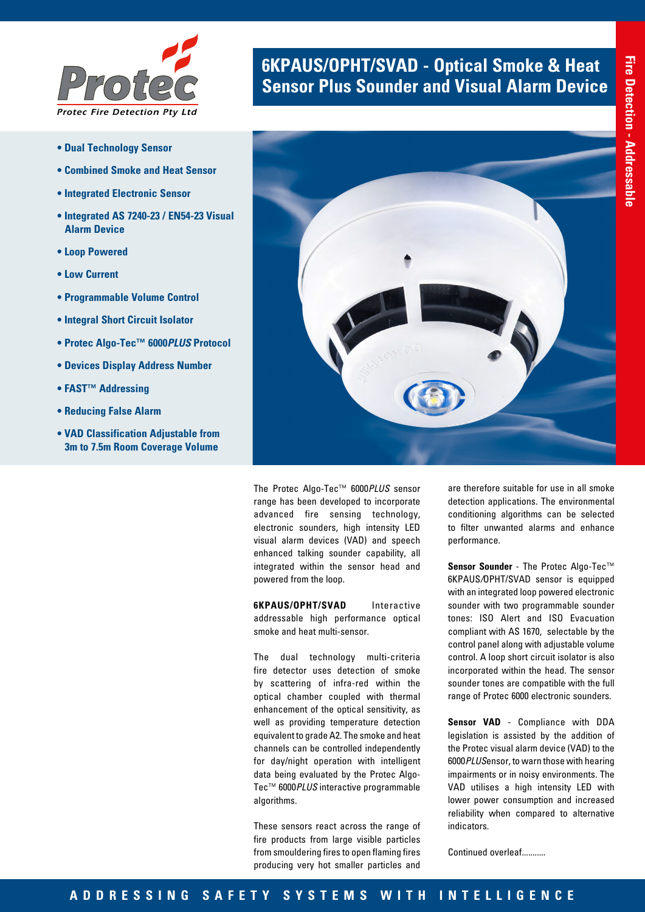

- **Dual Technology Sensor**
- **Combined Smoke and Heat Sensor**
- **Integrated Electronic Sensor**
- **Integrated AS 7240-23 / EN54-23 Visual Alarm Device**
- **Loop Powered**
- **Low Current**
- **Programmable Volume Control**
- **Integral Short Circuit Isolator**
- **Protec Algo-Tec™ 6000***PLUS* **Protocol**
- **Devices Display Address Number**
- **FAST™ Addressing**
- **Reducing False Alarm**
- **VAD Classification Adjustable from 3m to 7.5m Room Coverage Volume**

# **6KPAUS/OPHT/SVAD - Optical Smoke & Heat <br><b>Sensor Plus Sounder and Visual Alarm Device**



The Protec Algo-Tec™ 6000*PLUS* sensor range has been developed to incorporate advanced fire sensing technology, electronic sounders, high intensity LED visual alarm devices (VAD) and speech enhanced talking sounder capability, all integrated within the sensor head and powered from the loop.

**6KPAUS/OPHT/SVAD** Interactive addressable high performance optical smoke and heat multi-sensor.

The dual technology multi-criteria fire detector uses detection of smoke by scattering of infra-red within the optical chamber coupled with thermal enhancement of the optical sensitivity, as well as providing temperature detection equivalent to grade A2. The smoke and heat channels can be controlled independently for day/night operation with intelligent data being evaluated by the Protec Algo-Tec™ 6000*PLUS* interactive programmable algorithms.

These sensors react across the range of fire products from large visible particles from smouldering fires to open flaming fires producing very hot smaller particles and

are therefore suitable for use in all smoke detection applications. The environmental conditioning algorithms can be selected to filter unwanted alarms and enhance performance.

**Sensor Sounder** - The Protec Algo-Tec™ 6KPAUS*/*OPHT/SVAD sensor is equipped with an integrated loop powered electronic sounder with two programmable sounder tones: ISO Alert and ISO Evacuation compliant with AS 1670, selectable by the control panel along with adjustable volume control. A loop short circuit isolator is also incorporated within the head. The sensor sounder tones are compatible with the full range of Protec 6000 electronic sounders.

**Sensor VAD** - Compliance with DDA legislation is assisted by the addition of the Protec visual alarm device (VAD) to the 6000*PLUS*ensor, to warn those with hearing impairments or in noisy environments. The VAD utilises a high intensity LED with lower power consumption and increased reliability when compared to alternative indicators.

Continued overleaf...........